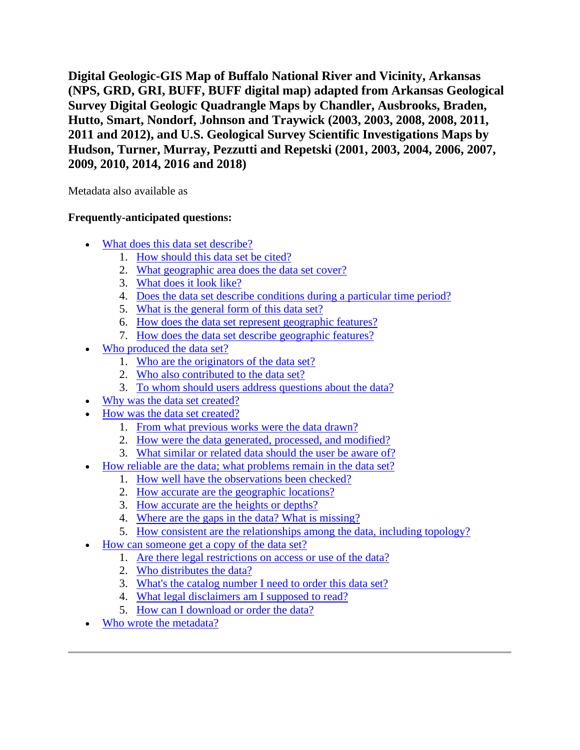**Digital Geologic-GIS Map of Buffalo National River and Vicinity, Arkansas (NPS, GRD, GRI, BUFF, BUFF digital map) adapted from Arkansas Geological Survey Digital Geologic Quadrangle Maps by Chandler, Ausbrooks, Braden, Hutto, Smart, Nondorf, Johnson and Traywick (2003, 2003, 2008, 2008, 2011, 2011 and 2012), and U.S. Geological Survey Scientific Investigations Maps by Hudson, Turner, Murray, Pezzutti and Repetski (2001, 2003, 2004, 2006, 2007, 2009, 2010, 2014, 2016 and 2018)**

Metadata also available as

## **Frequently-anticipated questions:**

- [What does this data set describe?](#page-1-0)
	- 1. [How should this data set be cited?](#page-2-0)
	- 2. [What geographic area does the data set cover?](#page-3-0)
	- 3. [What does it look like?](#page-3-1)
	- 4. [Does the data set describe conditions during a particular time period?](#page-3-2)
	- 5. [What is the general form of this data set?](#page-3-3)
	- 6. [How does the data set represent geographic features?](#page-3-4)
	- 7. [How does the data set describe geographic features?](#page-4-0)
- [Who produced the data set?](#page-4-1)
	- 1. [Who are the originators of the data set?](#page-4-2)
	- 2. [Who also contributed to the data set?](#page-4-3)
	- 3. [To whom should users address questions about the data?](#page-4-4)
- [Why was the data set created?](#page-4-5)
- [How was the data set created?](#page-5-0)
	- 1. [From what previous works were the data drawn?](#page-5-1)
	- 2. [How were the data generated, processed, and modified?](#page-11-0)
	- 3. [What similar or related data should the user be aware of?](#page-13-0)
	- [How reliable are the data; what problems remain in the data set?](#page-13-1)
		- 1. [How well have the observations been checked?](#page-13-2)
		- 2. [How accurate are the geographic locations?](#page-13-3)
		- 3. [How accurate are the heights or depths?](#page-14-0)
		- 4. [Where are the gaps in the data? What is missing?](#page-14-1)
		- 5. [How consistent are the relationships among the data, including topology?](#page-14-2)
- [How can someone get a copy of the data set?](#page-14-3)
	- 1. [Are there legal restrictions on access or use of the data?](#page-14-4)
		- 2. [Who distributes the data?](#page-14-5)
		- 3. [What's the catalog number I need to order this data set?](#page-15-0)
		- 4. [What legal disclaimers am I supposed to read?](#page-15-1)
		- 5. [How can I download or order the data?](#page-15-2)
- [Who wrote the metadata?](#page-16-0)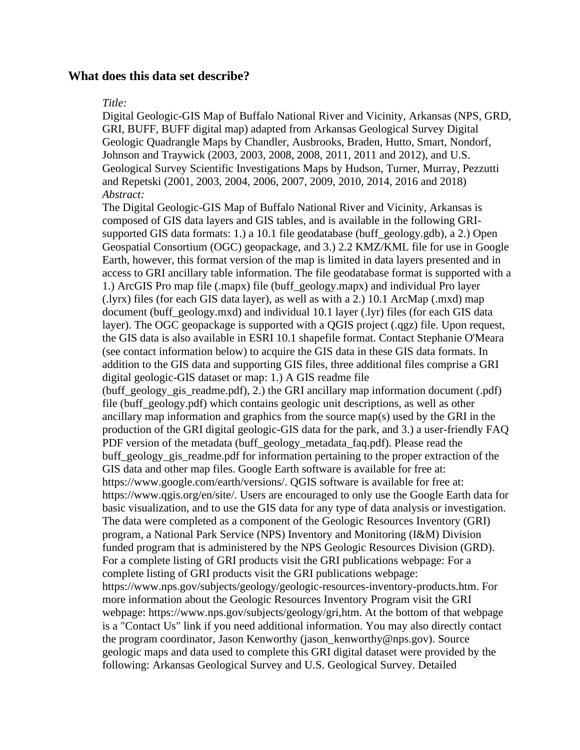### <span id="page-1-0"></span>**What does this data set describe?**

#### *Title:*

Digital Geologic-GIS Map of Buffalo National River and Vicinity, Arkansas (NPS, GRD, GRI, BUFF, BUFF digital map) adapted from Arkansas Geological Survey Digital Geologic Quadrangle Maps by Chandler, Ausbrooks, Braden, Hutto, Smart, Nondorf, Johnson and Traywick (2003, 2003, 2008, 2008, 2011, 2011 and 2012), and U.S. Geological Survey Scientific Investigations Maps by Hudson, Turner, Murray, Pezzutti and Repetski (2001, 2003, 2004, 2006, 2007, 2009, 2010, 2014, 2016 and 2018) *Abstract:*

The Digital Geologic-GIS Map of Buffalo National River and Vicinity, Arkansas is composed of GIS data layers and GIS tables, and is available in the following GRIsupported GIS data formats: 1.) a 10.1 file geodatabase (buff\_geology.gdb), a 2.) Open Geospatial Consortium (OGC) geopackage, and 3.) 2.2 KMZ/KML file for use in Google Earth, however, this format version of the map is limited in data layers presented and in access to GRI ancillary table information. The file geodatabase format is supported with a 1.) ArcGIS Pro map file (.mapx) file (buff\_geology.mapx) and individual Pro layer (.lyrx) files (for each GIS data layer), as well as with a 2.) 10.1 ArcMap (.mxd) map document (buff\_geology.mxd) and individual 10.1 layer (.lyr) files (for each GIS data layer). The OGC geopackage is supported with a QGIS project (.qgz) file. Upon request, the GIS data is also available in ESRI 10.1 shapefile format. Contact Stephanie O'Meara (see contact information below) to acquire the GIS data in these GIS data formats. In addition to the GIS data and supporting GIS files, three additional files comprise a GRI digital geologic-GIS dataset or map: 1.) A GIS readme file (buff\_geology\_gis\_readme.pdf), 2.) the GRI ancillary map information document (.pdf) file (buff\_geology.pdf) which contains geologic unit descriptions, as well as other ancillary map information and graphics from the source map(s) used by the GRI in the production of the GRI digital geologic-GIS data for the park, and 3.) a user-friendly FAQ PDF version of the metadata (buff\_geology\_metadata\_faq.pdf). Please read the buff\_geology\_gis\_readme.pdf for information pertaining to the proper extraction of the GIS data and other map files. Google Earth software is available for free at: https://www.google.com/earth/versions/. QGIS software is available for free at: https://www.qgis.org/en/site/. Users are encouraged to only use the Google Earth data for basic visualization, and to use the GIS data for any type of data analysis or investigation. The data were completed as a component of the Geologic Resources Inventory (GRI) program, a National Park Service (NPS) Inventory and Monitoring (I&M) Division funded program that is administered by the NPS Geologic Resources Division (GRD). For a complete listing of GRI products visit the GRI publications webpage: For a complete listing of GRI products visit the GRI publications webpage: https://www.nps.gov/subjects/geology/geologic-resources-inventory-products.htm. For more information about the Geologic Resources Inventory Program visit the GRI webpage: https://www.nps.gov/subjects/geology/gri,htm. At the bottom of that webpage is a "Contact Us" link if you need additional information. You may also directly contact the program coordinator, Jason Kenworthy (jason\_kenworthy@nps.gov). Source geologic maps and data used to complete this GRI digital dataset were provided by the following: Arkansas Geological Survey and U.S. Geological Survey. Detailed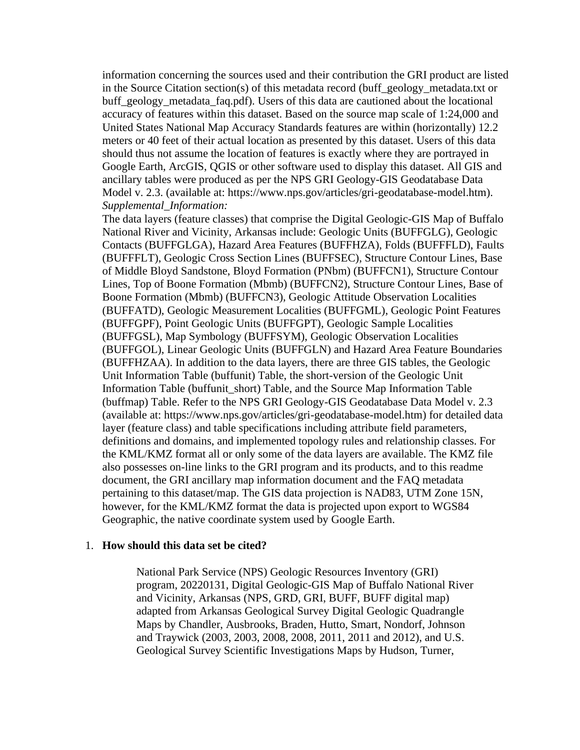information concerning the sources used and their contribution the GRI product are listed in the Source Citation section(s) of this metadata record (buff\_geology\_metadata.txt or buff\_geology\_metadata\_faq.pdf). Users of this data are cautioned about the locational accuracy of features within this dataset. Based on the source map scale of 1:24,000 and United States National Map Accuracy Standards features are within (horizontally) 12.2 meters or 40 feet of their actual location as presented by this dataset. Users of this data should thus not assume the location of features is exactly where they are portrayed in Google Earth, ArcGIS, QGIS or other software used to display this dataset. All GIS and ancillary tables were produced as per the NPS GRI Geology-GIS Geodatabase Data Model v. 2.3. (available at: https://www.nps.gov/articles/gri-geodatabase-model.htm). *Supplemental\_Information:*

The data layers (feature classes) that comprise the Digital Geologic-GIS Map of Buffalo National River and Vicinity, Arkansas include: Geologic Units (BUFFGLG), Geologic Contacts (BUFFGLGA), Hazard Area Features (BUFFHZA), Folds (BUFFFLD), Faults (BUFFFLT), Geologic Cross Section Lines (BUFFSEC), Structure Contour Lines, Base of Middle Bloyd Sandstone, Bloyd Formation (PNbm) (BUFFCN1), Structure Contour Lines, Top of Boone Formation (Mbmb) (BUFFCN2), Structure Contour Lines, Base of Boone Formation (Mbmb) (BUFFCN3), Geologic Attitude Observation Localities (BUFFATD), Geologic Measurement Localities (BUFFGML), Geologic Point Features (BUFFGPF), Point Geologic Units (BUFFGPT), Geologic Sample Localities (BUFFGSL), Map Symbology (BUFFSYM), Geologic Observation Localities (BUFFGOL), Linear Geologic Units (BUFFGLN) and Hazard Area Feature Boundaries (BUFFHZAA). In addition to the data layers, there are three GIS tables, the Geologic Unit Information Table (buffunit) Table, the short-version of the Geologic Unit Information Table (buffunit\_short) Table, and the Source Map Information Table (buffmap) Table. Refer to the NPS GRI Geology-GIS Geodatabase Data Model v. 2.3 (available at: https://www.nps.gov/articles/gri-geodatabase-model.htm) for detailed data layer (feature class) and table specifications including attribute field parameters, definitions and domains, and implemented topology rules and relationship classes. For the KML/KMZ format all or only some of the data layers are available. The KMZ file also possesses on-line links to the GRI program and its products, and to this readme document, the GRI ancillary map information document and the FAQ metadata pertaining to this dataset/map. The GIS data projection is NAD83, UTM Zone 15N, however, for the KML/KMZ format the data is projected upon export to WGS84 Geographic, the native coordinate system used by Google Earth.

#### <span id="page-2-0"></span>1. **How should this data set be cited?**

National Park Service (NPS) Geologic Resources Inventory (GRI) program, 20220131, Digital Geologic-GIS Map of Buffalo National River and Vicinity, Arkansas (NPS, GRD, GRI, BUFF, BUFF digital map) adapted from Arkansas Geological Survey Digital Geologic Quadrangle Maps by Chandler, Ausbrooks, Braden, Hutto, Smart, Nondorf, Johnson and Traywick (2003, 2003, 2008, 2008, 2011, 2011 and 2012), and U.S. Geological Survey Scientific Investigations Maps by Hudson, Turner,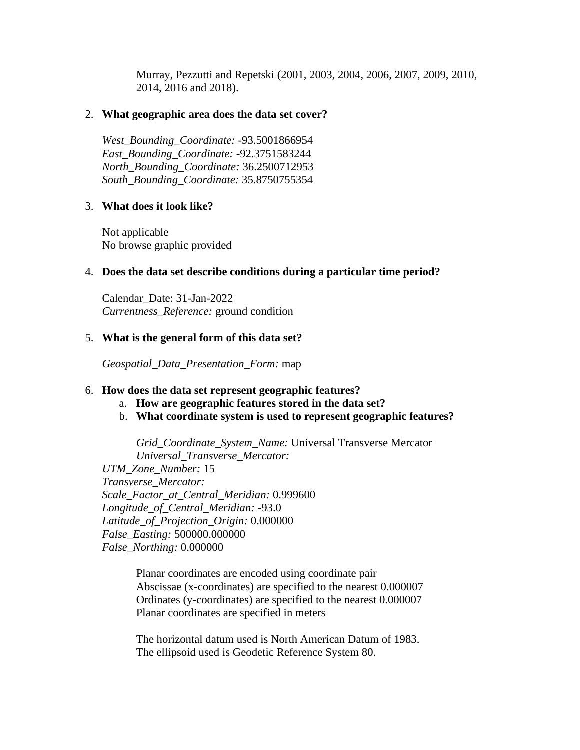Murray, Pezzutti and Repetski (2001, 2003, 2004, 2006, 2007, 2009, 2010, 2014, 2016 and 2018).

### <span id="page-3-0"></span>2. **What geographic area does the data set cover?**

*West\_Bounding\_Coordinate:* -93.5001866954 *East\_Bounding\_Coordinate:* -92.3751583244 *North\_Bounding\_Coordinate:* 36.2500712953 *South\_Bounding\_Coordinate:* 35.8750755354

#### <span id="page-3-1"></span>3. **What does it look like?**

Not applicable No browse graphic provided

#### <span id="page-3-2"></span>4. **Does the data set describe conditions during a particular time period?**

Calendar\_Date: 31-Jan-2022 *Currentness\_Reference:* ground condition

#### <span id="page-3-3"></span>5. **What is the general form of this data set?**

*Geospatial\_Data\_Presentation\_Form:* map

#### <span id="page-3-4"></span>6. **How does the data set represent geographic features?**

- a. **How are geographic features stored in the data set?**
- b. **What coordinate system is used to represent geographic features?**

*Grid\_Coordinate\_System\_Name:* Universal Transverse Mercator *Universal\_Transverse\_Mercator:*

*UTM\_Zone\_Number:* 15 *Transverse\_Mercator: Scale\_Factor\_at\_Central\_Meridian:* 0.999600 *Longitude\_of\_Central\_Meridian:* -93.0 *Latitude\_of\_Projection\_Origin:* 0.000000 *False\_Easting:* 500000.000000 *False\_Northing:* 0.000000

> Planar coordinates are encoded using coordinate pair Abscissae (x-coordinates) are specified to the nearest 0.000007 Ordinates (y-coordinates) are specified to the nearest 0.000007 Planar coordinates are specified in meters

> The horizontal datum used is North American Datum of 1983. The ellipsoid used is Geodetic Reference System 80.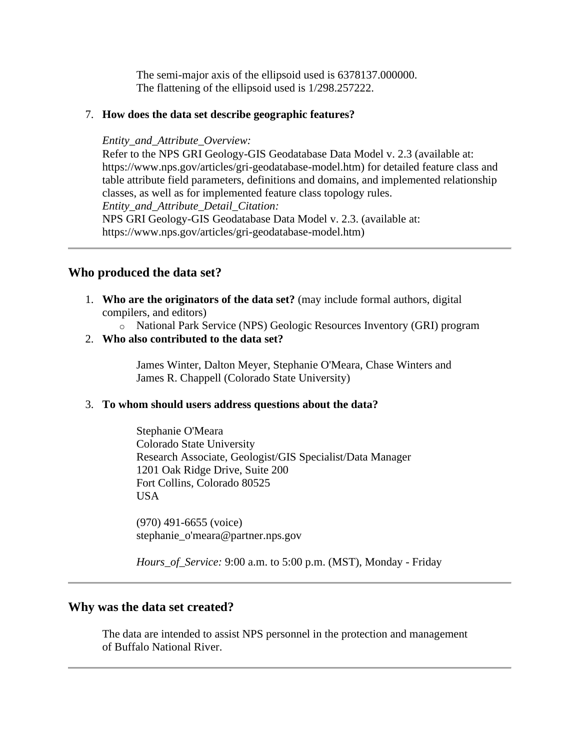The semi-major axis of the ellipsoid used is 6378137.000000. The flattening of the ellipsoid used is 1/298.257222.

### <span id="page-4-0"></span>7. **How does the data set describe geographic features?**

#### *Entity\_and\_Attribute\_Overview:*

Refer to the NPS GRI Geology-GIS Geodatabase Data Model v. 2.3 (available at: https://www.nps.gov/articles/gri-geodatabase-model.htm) for detailed feature class and table attribute field parameters, definitions and domains, and implemented relationship classes, as well as for implemented feature class topology rules. *Entity\_and\_Attribute\_Detail\_Citation:*

NPS GRI Geology-GIS Geodatabase Data Model v. 2.3. (available at: https://www.nps.gov/articles/gri-geodatabase-model.htm)

### <span id="page-4-1"></span>**Who produced the data set?**

<span id="page-4-2"></span>1. **Who are the originators of the data set?** (may include formal authors, digital compilers, and editors)

o National Park Service (NPS) Geologic Resources Inventory (GRI) program

<span id="page-4-3"></span>2. **Who also contributed to the data set?**

James Winter, Dalton Meyer, Stephanie O'Meara, Chase Winters and James R. Chappell (Colorado State University)

### <span id="page-4-4"></span>3. **To whom should users address questions about the data?**

Stephanie O'Meara Colorado State University Research Associate, Geologist/GIS Specialist/Data Manager 1201 Oak Ridge Drive, Suite 200 Fort Collins, Colorado 80525 USA

(970) 491-6655 (voice) stephanie\_o'meara@partner.nps.gov

*Hours\_of\_Service:* 9:00 a.m. to 5:00 p.m. (MST), Monday - Friday

### <span id="page-4-5"></span>**Why was the data set created?**

The data are intended to assist NPS personnel in the protection and management of Buffalo National River.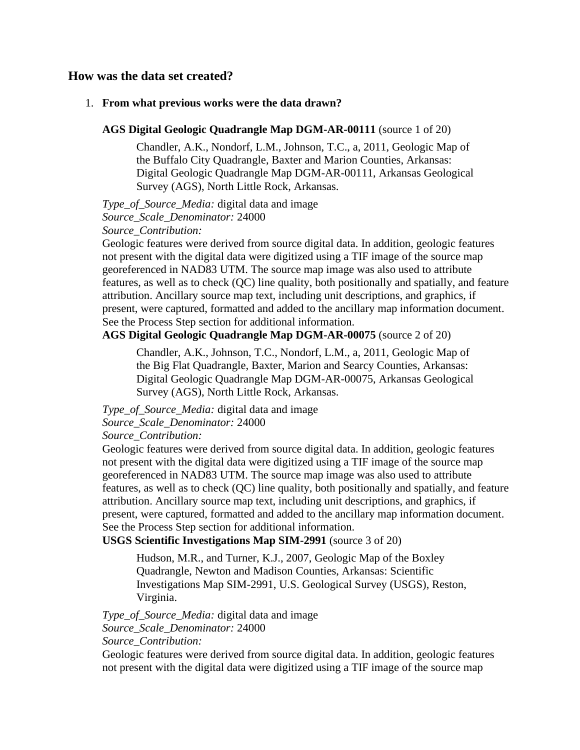### <span id="page-5-0"></span>**How was the data set created?**

#### <span id="page-5-1"></span>1. **From what previous works were the data drawn?**

#### **AGS Digital Geologic Quadrangle Map DGM-AR-00111** (source 1 of 20)

Chandler, A.K., Nondorf, L.M., Johnson, T.C., a, 2011, Geologic Map of the Buffalo City Quadrangle, Baxter and Marion Counties, Arkansas: Digital Geologic Quadrangle Map DGM-AR-00111, Arkansas Geological Survey (AGS), North Little Rock, Arkansas.

*Type\_of\_Source\_Media:* digital data and image

*Source\_Scale\_Denominator:* 24000

*Source\_Contribution:*

Geologic features were derived from source digital data. In addition, geologic features not present with the digital data were digitized using a TIF image of the source map georeferenced in NAD83 UTM. The source map image was also used to attribute features, as well as to check (QC) line quality, both positionally and spatially, and feature attribution. Ancillary source map text, including unit descriptions, and graphics, if present, were captured, formatted and added to the ancillary map information document. See the Process Step section for additional information.

### **AGS Digital Geologic Quadrangle Map DGM-AR-00075** (source 2 of 20)

Chandler, A.K., Johnson, T.C., Nondorf, L.M., a, 2011, Geologic Map of the Big Flat Quadrangle, Baxter, Marion and Searcy Counties, Arkansas: Digital Geologic Quadrangle Map DGM-AR-00075, Arkansas Geological Survey (AGS), North Little Rock, Arkansas.

*Type\_of\_Source\_Media:* digital data and image

### *Source\_Scale\_Denominator:* 24000

*Source\_Contribution:*

Geologic features were derived from source digital data. In addition, geologic features not present with the digital data were digitized using a TIF image of the source map georeferenced in NAD83 UTM. The source map image was also used to attribute features, as well as to check (QC) line quality, both positionally and spatially, and feature attribution. Ancillary source map text, including unit descriptions, and graphics, if present, were captured, formatted and added to the ancillary map information document. See the Process Step section for additional information.

**USGS Scientific Investigations Map SIM-2991** (source 3 of 20)

Hudson, M.R., and Turner, K.J., 2007, Geologic Map of the Boxley Quadrangle, Newton and Madison Counties, Arkansas: Scientific Investigations Map SIM-2991, U.S. Geological Survey (USGS), Reston, Virginia.

*Type\_of\_Source\_Media:* digital data and image *Source\_Scale\_Denominator:* 24000 *Source\_Contribution:*

Geologic features were derived from source digital data. In addition, geologic features not present with the digital data were digitized using a TIF image of the source map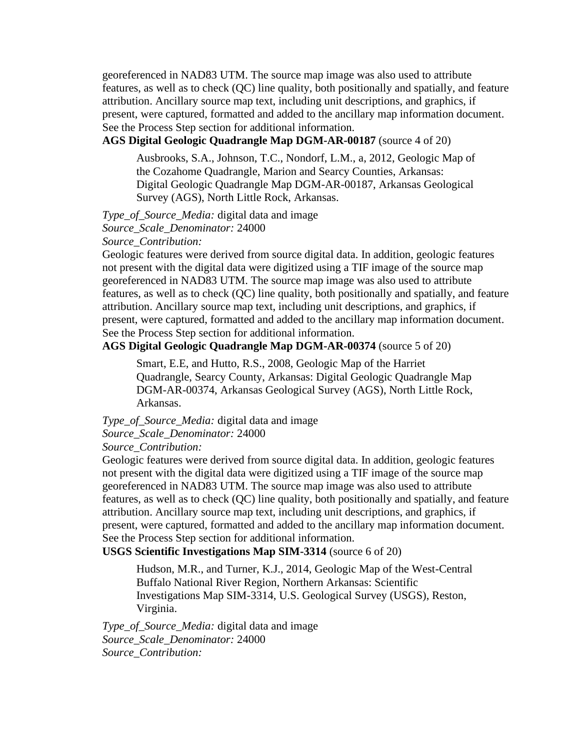georeferenced in NAD83 UTM. The source map image was also used to attribute features, as well as to check (QC) line quality, both positionally and spatially, and feature attribution. Ancillary source map text, including unit descriptions, and graphics, if present, were captured, formatted and added to the ancillary map information document. See the Process Step section for additional information.

### **AGS Digital Geologic Quadrangle Map DGM-AR-00187** (source 4 of 20)

Ausbrooks, S.A., Johnson, T.C., Nondorf, L.M., a, 2012, Geologic Map of the Cozahome Quadrangle, Marion and Searcy Counties, Arkansas: Digital Geologic Quadrangle Map DGM-AR-00187, Arkansas Geological Survey (AGS), North Little Rock, Arkansas.

*Type\_of\_Source\_Media:* digital data and image *Source\_Scale\_Denominator:* 24000 *Source\_Contribution:*

Geologic features were derived from source digital data. In addition, geologic features not present with the digital data were digitized using a TIF image of the source map georeferenced in NAD83 UTM. The source map image was also used to attribute features, as well as to check (QC) line quality, both positionally and spatially, and feature attribution. Ancillary source map text, including unit descriptions, and graphics, if present, were captured, formatted and added to the ancillary map information document. See the Process Step section for additional information.

### **AGS Digital Geologic Quadrangle Map DGM-AR-00374** (source 5 of 20)

Smart, E.E, and Hutto, R.S., 2008, Geologic Map of the Harriet Quadrangle, Searcy County, Arkansas: Digital Geologic Quadrangle Map DGM-AR-00374, Arkansas Geological Survey (AGS), North Little Rock, Arkansas.

# *Type\_of\_Source\_Media:* digital data and image *Source\_Scale\_Denominator:* 24000

*Source\_Contribution:*

Geologic features were derived from source digital data. In addition, geologic features not present with the digital data were digitized using a TIF image of the source map georeferenced in NAD83 UTM. The source map image was also used to attribute features, as well as to check (QC) line quality, both positionally and spatially, and feature attribution. Ancillary source map text, including unit descriptions, and graphics, if present, were captured, formatted and added to the ancillary map information document. See the Process Step section for additional information.

### **USGS Scientific Investigations Map SIM-3314** (source 6 of 20)

Hudson, M.R., and Turner, K.J., 2014, Geologic Map of the West-Central Buffalo National River Region, Northern Arkansas: Scientific Investigations Map SIM-3314, U.S. Geological Survey (USGS), Reston, Virginia.

*Type\_of\_Source\_Media:* digital data and image *Source\_Scale\_Denominator:* 24000 *Source\_Contribution:*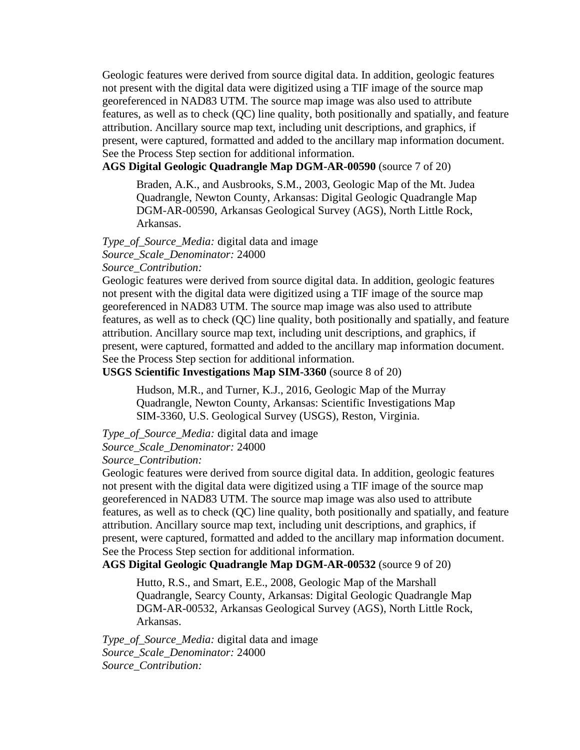Geologic features were derived from source digital data. In addition, geologic features not present with the digital data were digitized using a TIF image of the source map georeferenced in NAD83 UTM. The source map image was also used to attribute features, as well as to check (QC) line quality, both positionally and spatially, and feature attribution. Ancillary source map text, including unit descriptions, and graphics, if present, were captured, formatted and added to the ancillary map information document. See the Process Step section for additional information.

#### **AGS Digital Geologic Quadrangle Map DGM-AR-00590** (source 7 of 20)

Braden, A.K., and Ausbrooks, S.M., 2003, Geologic Map of the Mt. Judea Quadrangle, Newton County, Arkansas: Digital Geologic Quadrangle Map DGM-AR-00590, Arkansas Geological Survey (AGS), North Little Rock, Arkansas.

*Type\_of\_Source\_Media:* digital data and image *Source\_Scale\_Denominator:* 24000

*Source\_Contribution:*

Geologic features were derived from source digital data. In addition, geologic features not present with the digital data were digitized using a TIF image of the source map georeferenced in NAD83 UTM. The source map image was also used to attribute features, as well as to check (QC) line quality, both positionally and spatially, and feature attribution. Ancillary source map text, including unit descriptions, and graphics, if present, were captured, formatted and added to the ancillary map information document. See the Process Step section for additional information.

#### **USGS Scientific Investigations Map SIM-3360** (source 8 of 20)

Hudson, M.R., and Turner, K.J., 2016, Geologic Map of the Murray Quadrangle, Newton County, Arkansas: Scientific Investigations Map SIM-3360, U.S. Geological Survey (USGS), Reston, Virginia.

### *Type\_of\_Source\_Media:* digital data and image *Source\_Scale\_Denominator:* 24000

*Source\_Contribution:*

Geologic features were derived from source digital data. In addition, geologic features not present with the digital data were digitized using a TIF image of the source map georeferenced in NAD83 UTM. The source map image was also used to attribute features, as well as to check (QC) line quality, both positionally and spatially, and feature attribution. Ancillary source map text, including unit descriptions, and graphics, if present, were captured, formatted and added to the ancillary map information document. See the Process Step section for additional information.

### **AGS Digital Geologic Quadrangle Map DGM-AR-00532** (source 9 of 20)

Hutto, R.S., and Smart, E.E., 2008, Geologic Map of the Marshall Quadrangle, Searcy County, Arkansas: Digital Geologic Quadrangle Map DGM-AR-00532, Arkansas Geological Survey (AGS), North Little Rock, Arkansas.

*Type\_of\_Source\_Media:* digital data and image *Source\_Scale\_Denominator:* 24000 *Source\_Contribution:*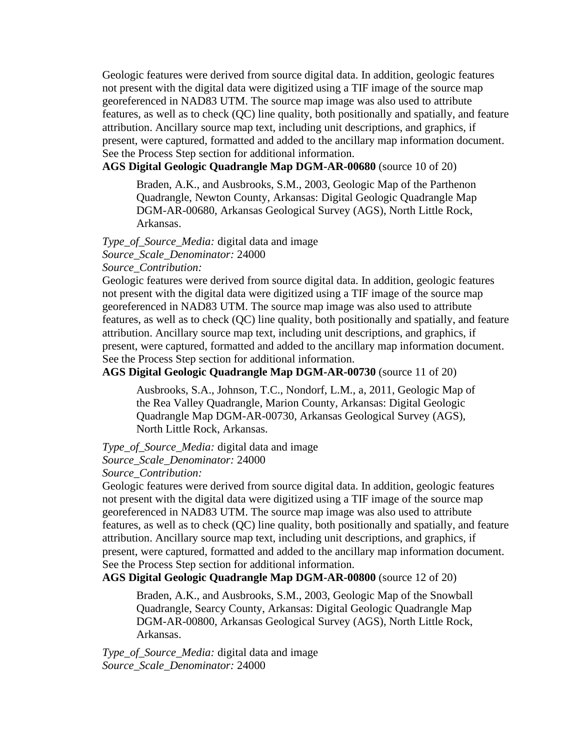Geologic features were derived from source digital data. In addition, geologic features not present with the digital data were digitized using a TIF image of the source map georeferenced in NAD83 UTM. The source map image was also used to attribute features, as well as to check (QC) line quality, both positionally and spatially, and feature attribution. Ancillary source map text, including unit descriptions, and graphics, if present, were captured, formatted and added to the ancillary map information document. See the Process Step section for additional information.

#### **AGS Digital Geologic Quadrangle Map DGM-AR-00680** (source 10 of 20)

Braden, A.K., and Ausbrooks, S.M., 2003, Geologic Map of the Parthenon Quadrangle, Newton County, Arkansas: Digital Geologic Quadrangle Map DGM-AR-00680, Arkansas Geological Survey (AGS), North Little Rock, Arkansas.

*Type\_of\_Source\_Media:* digital data and image *Source\_Scale\_Denominator:* 24000

*Source\_Contribution:*

Geologic features were derived from source digital data. In addition, geologic features not present with the digital data were digitized using a TIF image of the source map georeferenced in NAD83 UTM. The source map image was also used to attribute features, as well as to check (QC) line quality, both positionally and spatially, and feature attribution. Ancillary source map text, including unit descriptions, and graphics, if present, were captured, formatted and added to the ancillary map information document. See the Process Step section for additional information.

### **AGS Digital Geologic Quadrangle Map DGM-AR-00730** (source 11 of 20)

Ausbrooks, S.A., Johnson, T.C., Nondorf, L.M., a, 2011, Geologic Map of the Rea Valley Quadrangle, Marion County, Arkansas: Digital Geologic Quadrangle Map DGM-AR-00730, Arkansas Geological Survey (AGS), North Little Rock, Arkansas.

*Type\_of\_Source\_Media:* digital data and image

# *Source\_Scale\_Denominator:* 24000

*Source\_Contribution:*

Geologic features were derived from source digital data. In addition, geologic features not present with the digital data were digitized using a TIF image of the source map georeferenced in NAD83 UTM. The source map image was also used to attribute features, as well as to check (QC) line quality, both positionally and spatially, and feature attribution. Ancillary source map text, including unit descriptions, and graphics, if present, were captured, formatted and added to the ancillary map information document. See the Process Step section for additional information.

### **AGS Digital Geologic Quadrangle Map DGM-AR-00800** (source 12 of 20)

Braden, A.K., and Ausbrooks, S.M., 2003, Geologic Map of the Snowball Quadrangle, Searcy County, Arkansas: Digital Geologic Quadrangle Map DGM-AR-00800, Arkansas Geological Survey (AGS), North Little Rock, Arkansas.

*Type\_of\_Source\_Media:* digital data and image *Source\_Scale\_Denominator:* 24000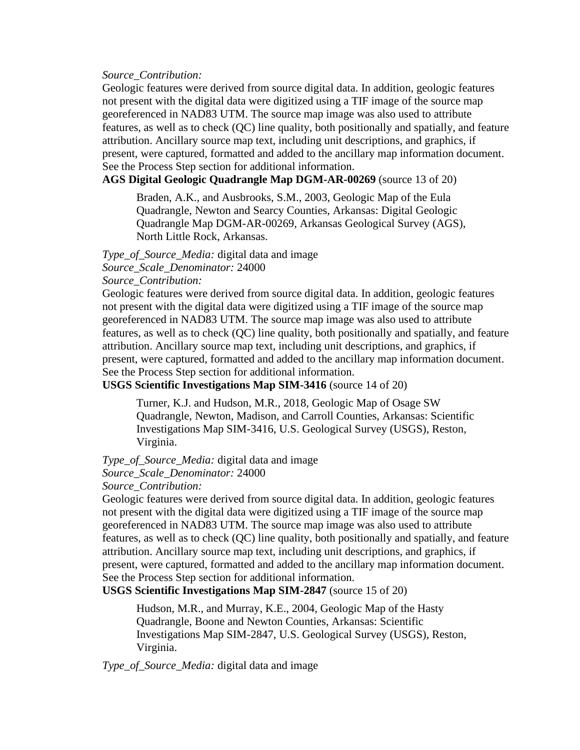#### *Source\_Contribution:*

Geologic features were derived from source digital data. In addition, geologic features not present with the digital data were digitized using a TIF image of the source map georeferenced in NAD83 UTM. The source map image was also used to attribute features, as well as to check (QC) line quality, both positionally and spatially, and feature attribution. Ancillary source map text, including unit descriptions, and graphics, if present, were captured, formatted and added to the ancillary map information document. See the Process Step section for additional information.

**AGS Digital Geologic Quadrangle Map DGM-AR-00269** (source 13 of 20)

Braden, A.K., and Ausbrooks, S.M., 2003, Geologic Map of the Eula Quadrangle, Newton and Searcy Counties, Arkansas: Digital Geologic Quadrangle Map DGM-AR-00269, Arkansas Geological Survey (AGS), North Little Rock, Arkansas.

*Type\_of\_Source\_Media:* digital data and image *Source\_Scale\_Denominator:* 24000 *Source\_Contribution:*

Geologic features were derived from source digital data. In addition, geologic features not present with the digital data were digitized using a TIF image of the source map georeferenced in NAD83 UTM. The source map image was also used to attribute features, as well as to check (QC) line quality, both positionally and spatially, and feature attribution. Ancillary source map text, including unit descriptions, and graphics, if present, were captured, formatted and added to the ancillary map information document. See the Process Step section for additional information.

**USGS Scientific Investigations Map SIM-3416** (source 14 of 20)

Turner, K.J. and Hudson, M.R., 2018, Geologic Map of Osage SW Quadrangle, Newton, Madison, and Carroll Counties, Arkansas: Scientific Investigations Map SIM-3416, U.S. Geological Survey (USGS), Reston, Virginia.

### *Type\_of\_Source\_Media:* digital data and image

*Source\_Scale\_Denominator:* 24000

#### *Source\_Contribution:*

Geologic features were derived from source digital data. In addition, geologic features not present with the digital data were digitized using a TIF image of the source map georeferenced in NAD83 UTM. The source map image was also used to attribute features, as well as to check (QC) line quality, both positionally and spatially, and feature attribution. Ancillary source map text, including unit descriptions, and graphics, if present, were captured, formatted and added to the ancillary map information document. See the Process Step section for additional information.

**USGS Scientific Investigations Map SIM-2847** (source 15 of 20)

Hudson, M.R., and Murray, K.E., 2004, Geologic Map of the Hasty Quadrangle, Boone and Newton Counties, Arkansas: Scientific Investigations Map SIM-2847, U.S. Geological Survey (USGS), Reston, Virginia.

*Type\_of\_Source\_Media:* digital data and image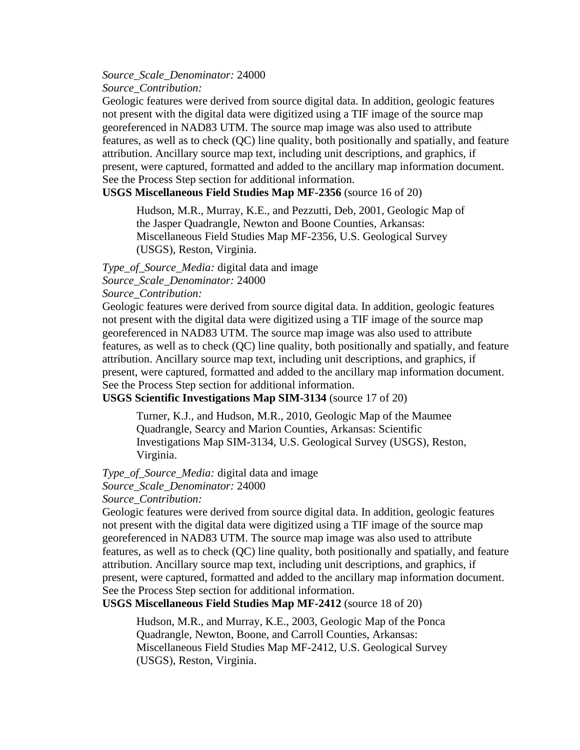*Source\_Scale\_Denominator:* 24000 *Source\_Contribution:*

Geologic features were derived from source digital data. In addition, geologic features not present with the digital data were digitized using a TIF image of the source map georeferenced in NAD83 UTM. The source map image was also used to attribute features, as well as to check (QC) line quality, both positionally and spatially, and feature attribution. Ancillary source map text, including unit descriptions, and graphics, if present, were captured, formatted and added to the ancillary map information document. See the Process Step section for additional information.

### **USGS Miscellaneous Field Studies Map MF-2356** (source 16 of 20)

Hudson, M.R., Murray, K.E., and Pezzutti, Deb, 2001, Geologic Map of the Jasper Quadrangle, Newton and Boone Counties, Arkansas: Miscellaneous Field Studies Map MF-2356, U.S. Geological Survey (USGS), Reston, Virginia.

*Type\_of\_Source\_Media:* digital data and image

*Source\_Scale\_Denominator:* 24000

*Source\_Contribution:*

Geologic features were derived from source digital data. In addition, geologic features not present with the digital data were digitized using a TIF image of the source map georeferenced in NAD83 UTM. The source map image was also used to attribute features, as well as to check (QC) line quality, both positionally and spatially, and feature attribution. Ancillary source map text, including unit descriptions, and graphics, if present, were captured, formatted and added to the ancillary map information document. See the Process Step section for additional information.

**USGS Scientific Investigations Map SIM-3134** (source 17 of 20)

Turner, K.J., and Hudson, M.R., 2010, Geologic Map of the Maumee Quadrangle, Searcy and Marion Counties, Arkansas: Scientific Investigations Map SIM-3134, U.S. Geological Survey (USGS), Reston, Virginia.

*Type\_of\_Source\_Media:* digital data and image

*Source\_Scale\_Denominator:* 24000

*Source\_Contribution:*

Geologic features were derived from source digital data. In addition, geologic features not present with the digital data were digitized using a TIF image of the source map georeferenced in NAD83 UTM. The source map image was also used to attribute features, as well as to check (QC) line quality, both positionally and spatially, and feature attribution. Ancillary source map text, including unit descriptions, and graphics, if present, were captured, formatted and added to the ancillary map information document. See the Process Step section for additional information.

**USGS Miscellaneous Field Studies Map MF-2412** (source 18 of 20)

Hudson, M.R., and Murray, K.E., 2003, Geologic Map of the Ponca Quadrangle, Newton, Boone, and Carroll Counties, Arkansas: Miscellaneous Field Studies Map MF-2412, U.S. Geological Survey (USGS), Reston, Virginia.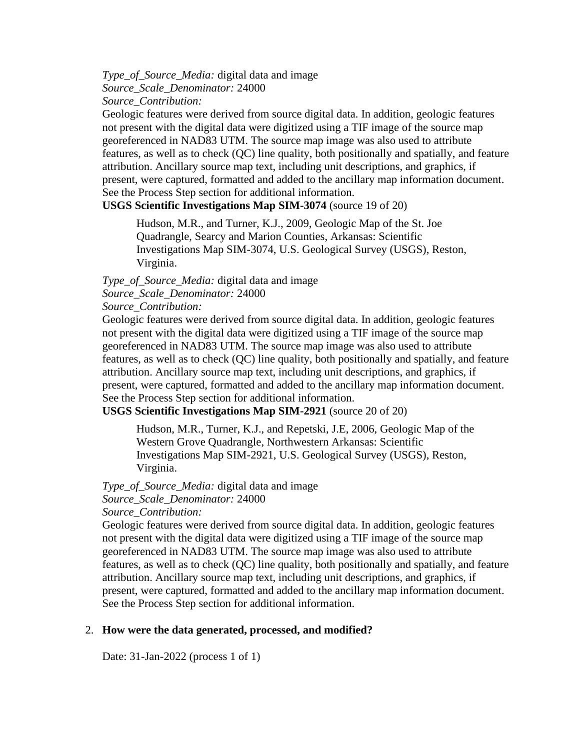*Type\_of\_Source\_Media:* digital data and image *Source\_Scale\_Denominator:* 24000 *Source\_Contribution:*

Geologic features were derived from source digital data. In addition, geologic features not present with the digital data were digitized using a TIF image of the source map georeferenced in NAD83 UTM. The source map image was also used to attribute features, as well as to check (QC) line quality, both positionally and spatially, and feature attribution. Ancillary source map text, including unit descriptions, and graphics, if present, were captured, formatted and added to the ancillary map information document. See the Process Step section for additional information.

**USGS Scientific Investigations Map SIM-3074** (source 19 of 20)

Hudson, M.R., and Turner, K.J., 2009, Geologic Map of the St. Joe Quadrangle, Searcy and Marion Counties, Arkansas: Scientific Investigations Map SIM-3074, U.S. Geological Survey (USGS), Reston, Virginia.

### *Type\_of\_Source\_Media:* digital data and image *Source\_Scale\_Denominator:* 24000

### *Source\_Contribution:*

Geologic features were derived from source digital data. In addition, geologic features not present with the digital data were digitized using a TIF image of the source map georeferenced in NAD83 UTM. The source map image was also used to attribute features, as well as to check (QC) line quality, both positionally and spatially, and feature attribution. Ancillary source map text, including unit descriptions, and graphics, if present, were captured, formatted and added to the ancillary map information document. See the Process Step section for additional information.

**USGS Scientific Investigations Map SIM-2921** (source 20 of 20)

Hudson, M.R., Turner, K.J., and Repetski, J.E, 2006, Geologic Map of the Western Grove Quadrangle, Northwestern Arkansas: Scientific Investigations Map SIM-2921, U.S. Geological Survey (USGS), Reston, Virginia.

*Type\_of\_Source\_Media:* digital data and image *Source\_Scale\_Denominator:* 24000

*Source\_Contribution:*

Geologic features were derived from source digital data. In addition, geologic features not present with the digital data were digitized using a TIF image of the source map georeferenced in NAD83 UTM. The source map image was also used to attribute features, as well as to check (QC) line quality, both positionally and spatially, and feature attribution. Ancillary source map text, including unit descriptions, and graphics, if present, were captured, formatted and added to the ancillary map information document. See the Process Step section for additional information.

### <span id="page-11-0"></span>2. **How were the data generated, processed, and modified?**

Date: 31-Jan-2022 (process 1 of 1)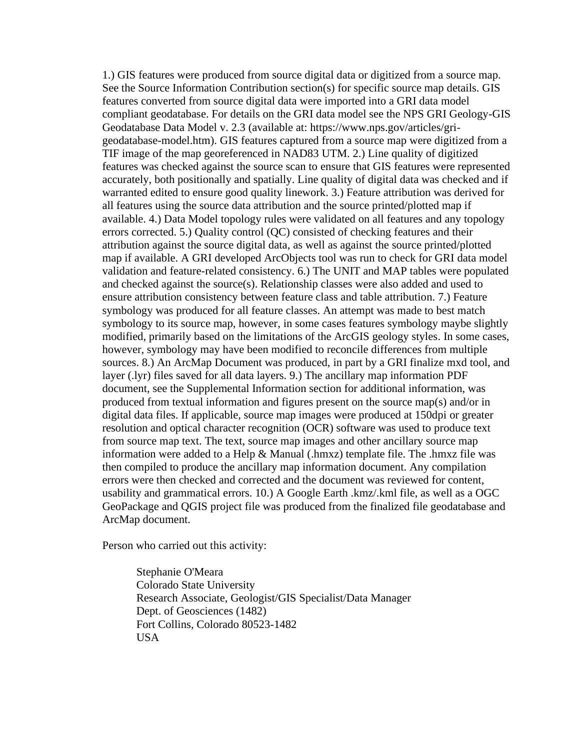1.) GIS features were produced from source digital data or digitized from a source map. See the Source Information Contribution section(s) for specific source map details. GIS features converted from source digital data were imported into a GRI data model compliant geodatabase. For details on the GRI data model see the NPS GRI Geology-GIS Geodatabase Data Model v. 2.3 (available at: https://www.nps.gov/articles/grigeodatabase-model.htm). GIS features captured from a source map were digitized from a TIF image of the map georeferenced in NAD83 UTM. 2.) Line quality of digitized features was checked against the source scan to ensure that GIS features were represented accurately, both positionally and spatially. Line quality of digital data was checked and if warranted edited to ensure good quality linework. 3.) Feature attribution was derived for all features using the source data attribution and the source printed/plotted map if available. 4.) Data Model topology rules were validated on all features and any topology errors corrected. 5.) Quality control (QC) consisted of checking features and their attribution against the source digital data, as well as against the source printed/plotted map if available. A GRI developed ArcObjects tool was run to check for GRI data model validation and feature-related consistency. 6.) The UNIT and MAP tables were populated and checked against the source(s). Relationship classes were also added and used to ensure attribution consistency between feature class and table attribution. 7.) Feature symbology was produced for all feature classes. An attempt was made to best match symbology to its source map, however, in some cases features symbology maybe slightly modified, primarily based on the limitations of the ArcGIS geology styles. In some cases, however, symbology may have been modified to reconcile differences from multiple sources. 8.) An ArcMap Document was produced, in part by a GRI finalize mxd tool, and layer (.lyr) files saved for all data layers. 9.) The ancillary map information PDF document, see the Supplemental Information section for additional information, was produced from textual information and figures present on the source map(s) and/or in digital data files. If applicable, source map images were produced at 150dpi or greater resolution and optical character recognition (OCR) software was used to produce text from source map text. The text, source map images and other ancillary source map information were added to a Help & Manual (.hmxz) template file. The .hmxz file was then compiled to produce the ancillary map information document. Any compilation errors were then checked and corrected and the document was reviewed for content, usability and grammatical errors. 10.) A Google Earth .kmz/.kml file, as well as a OGC GeoPackage and QGIS project file was produced from the finalized file geodatabase and ArcMap document.

Person who carried out this activity:

Stephanie O'Meara Colorado State University Research Associate, Geologist/GIS Specialist/Data Manager Dept. of Geosciences (1482) Fort Collins, Colorado 80523-1482 USA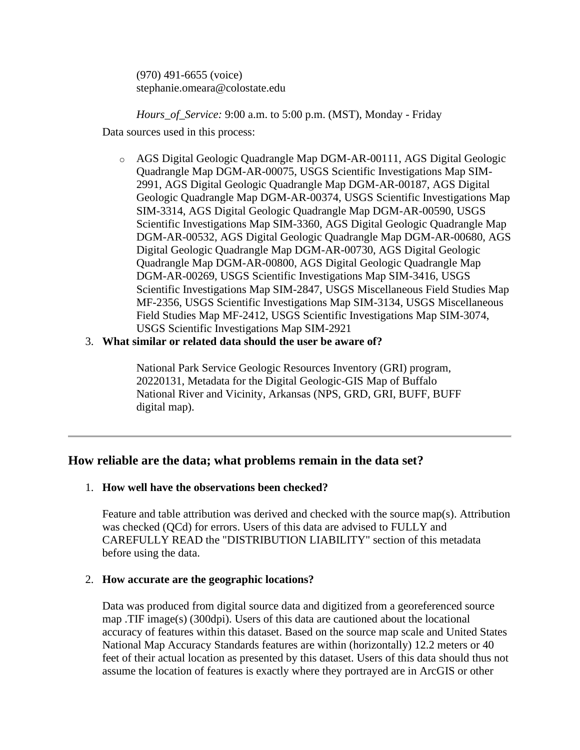(970) 491-6655 (voice) stephanie.omeara@colostate.edu

*Hours\_of\_Service:* 9:00 a.m. to 5:00 p.m. (MST), Monday - Friday

Data sources used in this process:

- o AGS Digital Geologic Quadrangle Map DGM-AR-00111, AGS Digital Geologic Quadrangle Map DGM-AR-00075, USGS Scientific Investigations Map SIM-2991, AGS Digital Geologic Quadrangle Map DGM-AR-00187, AGS Digital Geologic Quadrangle Map DGM-AR-00374, USGS Scientific Investigations Map SIM-3314, AGS Digital Geologic Quadrangle Map DGM-AR-00590, USGS Scientific Investigations Map SIM-3360, AGS Digital Geologic Quadrangle Map DGM-AR-00532, AGS Digital Geologic Quadrangle Map DGM-AR-00680, AGS Digital Geologic Quadrangle Map DGM-AR-00730, AGS Digital Geologic Quadrangle Map DGM-AR-00800, AGS Digital Geologic Quadrangle Map DGM-AR-00269, USGS Scientific Investigations Map SIM-3416, USGS Scientific Investigations Map SIM-2847, USGS Miscellaneous Field Studies Map MF-2356, USGS Scientific Investigations Map SIM-3134, USGS Miscellaneous Field Studies Map MF-2412, USGS Scientific Investigations Map SIM-3074, USGS Scientific Investigations Map SIM-2921
- <span id="page-13-0"></span>3. **What similar or related data should the user be aware of?**

National Park Service Geologic Resources Inventory (GRI) program, 20220131, Metadata for the Digital Geologic-GIS Map of Buffalo National River and Vicinity, Arkansas (NPS, GRD, GRI, BUFF, BUFF digital map).

## <span id="page-13-1"></span>**How reliable are the data; what problems remain in the data set?**

### <span id="page-13-2"></span>1. **How well have the observations been checked?**

Feature and table attribution was derived and checked with the source map(s). Attribution was checked (QCd) for errors. Users of this data are advised to FULLY and CAREFULLY READ the "DISTRIBUTION LIABILITY" section of this metadata before using the data.

### <span id="page-13-3"></span>2. **How accurate are the geographic locations?**

Data was produced from digital source data and digitized from a georeferenced source map .TIF image(s) (300dpi). Users of this data are cautioned about the locational accuracy of features within this dataset. Based on the source map scale and United States National Map Accuracy Standards features are within (horizontally) 12.2 meters or 40 feet of their actual location as presented by this dataset. Users of this data should thus not assume the location of features is exactly where they portrayed are in ArcGIS or other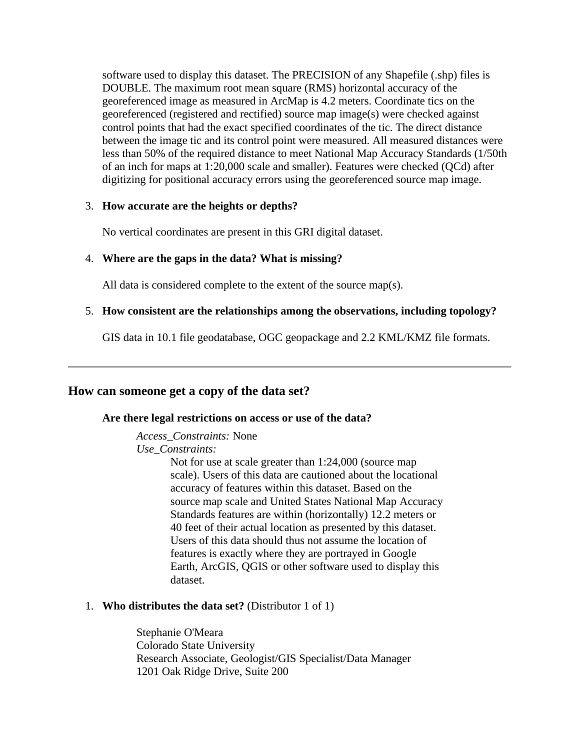software used to display this dataset. The PRECISION of any Shapefile (.shp) files is DOUBLE. The maximum root mean square (RMS) horizontal accuracy of the georeferenced image as measured in ArcMap is 4.2 meters. Coordinate tics on the georeferenced (registered and rectified) source map image(s) were checked against control points that had the exact specified coordinates of the tic. The direct distance between the image tic and its control point were measured. All measured distances were less than 50% of the required distance to meet National Map Accuracy Standards (1/50th of an inch for maps at 1:20,000 scale and smaller). Features were checked (QCd) after digitizing for positional accuracy errors using the georeferenced source map image.

### <span id="page-14-0"></span>3. **How accurate are the heights or depths?**

No vertical coordinates are present in this GRI digital dataset.

### <span id="page-14-1"></span>4. **Where are the gaps in the data? What is missing?**

All data is considered complete to the extent of the source map(s).

### <span id="page-14-2"></span>5. **How consistent are the relationships among the observations, including topology?**

GIS data in 10.1 file geodatabase, OGC geopackage and 2.2 KML/KMZ file formats.

### <span id="page-14-4"></span><span id="page-14-3"></span>**How can someone get a copy of the data set?**

### **Are there legal restrictions on access or use of the data?**

*Access\_Constraints:* None

*Use\_Constraints:*

Not for use at scale greater than 1:24,000 (source map scale). Users of this data are cautioned about the locational accuracy of features within this dataset. Based on the source map scale and United States National Map Accuracy Standards features are within (horizontally) 12.2 meters or 40 feet of their actual location as presented by this dataset. Users of this data should thus not assume the location of features is exactly where they are portrayed in Google Earth, ArcGIS, QGIS or other software used to display this dataset.

### <span id="page-14-5"></span>1. **Who distributes the data set?** (Distributor 1 of 1)

Stephanie O'Meara Colorado State University Research Associate, Geologist/GIS Specialist/Data Manager 1201 Oak Ridge Drive, Suite 200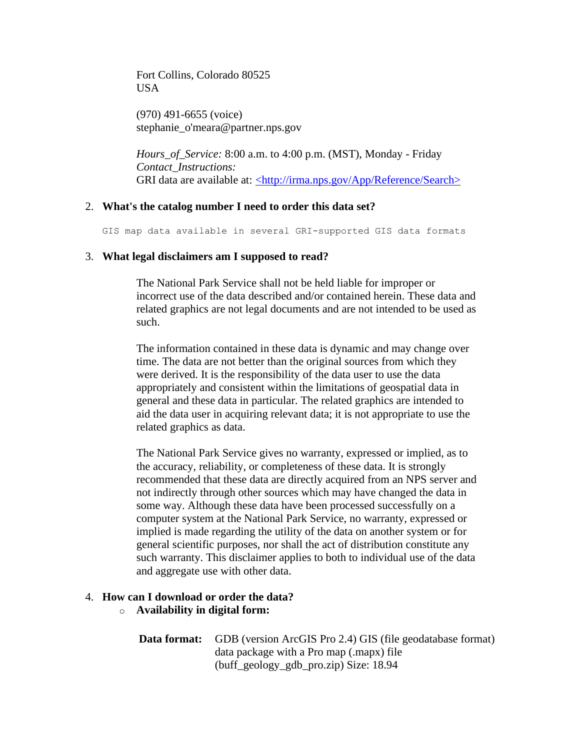Fort Collins, Colorado 80525 **USA** 

(970) 491-6655 (voice) stephanie\_o'meara@partner.nps.gov

*Hours\_of\_Service:* 8:00 a.m. to 4:00 p.m. (MST), Monday - Friday *Contact\_Instructions:* GRI data are available at: [<http://irma.nps.gov/App/Reference/Search>](http://irma.nps.gov/App/Reference/Search)

### <span id="page-15-0"></span>2. **What's the catalog number I need to order this data set?**

GIS map data available in several GRI-supported GIS data formats

### <span id="page-15-1"></span>3. **What legal disclaimers am I supposed to read?**

The National Park Service shall not be held liable for improper or incorrect use of the data described and/or contained herein. These data and related graphics are not legal documents and are not intended to be used as such.

The information contained in these data is dynamic and may change over time. The data are not better than the original sources from which they were derived. It is the responsibility of the data user to use the data appropriately and consistent within the limitations of geospatial data in general and these data in particular. The related graphics are intended to aid the data user in acquiring relevant data; it is not appropriate to use the related graphics as data.

The National Park Service gives no warranty, expressed or implied, as to the accuracy, reliability, or completeness of these data. It is strongly recommended that these data are directly acquired from an NPS server and not indirectly through other sources which may have changed the data in some way. Although these data have been processed successfully on a computer system at the National Park Service, no warranty, expressed or implied is made regarding the utility of the data on another system or for general scientific purposes, nor shall the act of distribution constitute any such warranty. This disclaimer applies to both to individual use of the data and aggregate use with other data.

## <span id="page-15-2"></span>4. **How can I download or order the data?**

### o **Availability in digital form:**

| <b>Data format:</b> GDB (version ArcGIS Pro 2.4) GIS (file geodatabase format) |
|--------------------------------------------------------------------------------|
| data package with a Pro map (maps) file                                        |
| (buff_geology_gdb_pro.zip) Size: 18.94                                         |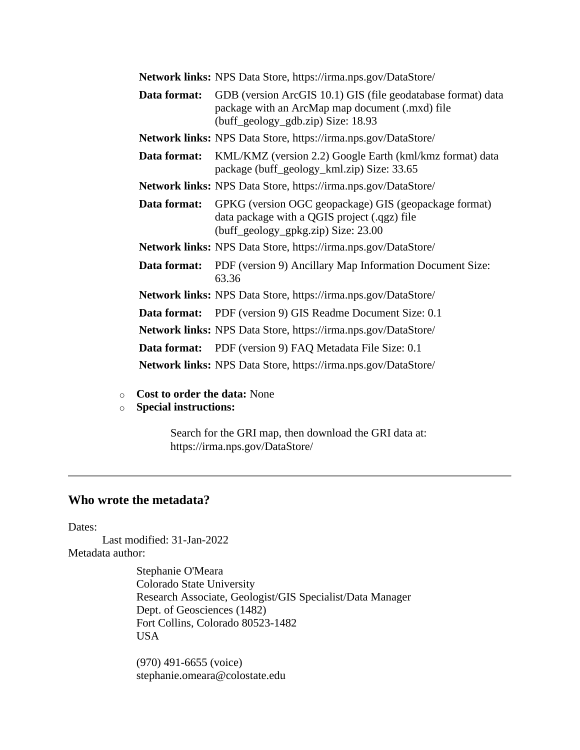|              | <b>Network links:</b> NPS Data Store, https://irma.nps.gov/DataStore/                                                                                 |
|--------------|-------------------------------------------------------------------------------------------------------------------------------------------------------|
| Data format: | GDB (version ArcGIS 10.1) GIS (file geodatabase format) data<br>package with an ArcMap map document (.mxd) file<br>(buff_geology_gdb.zip) Size: 18.93 |
|              | <b>Network links:</b> NPS Data Store, https://irma.nps.gov/DataStore/                                                                                 |
| Data format: | KML/KMZ (version 2.2) Google Earth (kml/kmz format) data<br>package (buff_geology_kml.zip) Size: 33.65                                                |
|              | Network links: NPS Data Store, https://irma.nps.gov/DataStore/                                                                                        |
| Data format: | GPKG (version OGC geopackage) GIS (geopackage format)<br>data package with a QGIS project (.qgz) file<br>(buff_geology_gpkg.zip) Size: 23.00          |
|              | <b>Network links:</b> NPS Data Store, https://irma.nps.gov/DataStore/                                                                                 |
|              | <b>Data format:</b> PDF (version 9) Ancillary Map Information Document Size:<br>63.36                                                                 |
|              | Network links: NPS Data Store, https://irma.nps.gov/DataStore/                                                                                        |
| Data format: | PDF (version 9) GIS Readme Document Size: 0.1                                                                                                         |
|              | <b>Network links:</b> NPS Data Store, https://irma.nps.gov/DataStore/                                                                                 |
|              | <b>Data format:</b> PDF (version 9) FAQ Metadata File Size: 0.1                                                                                       |
|              | <b>Network links:</b> NPS Data Store, https://irma.nps.gov/DataStore/                                                                                 |

- o **Cost to order the data:** None
- o **Special instructions:**

Search for the GRI map, then download the GRI data at: https://irma.nps.gov/DataStore/

# <span id="page-16-0"></span>**Who wrote the metadata?**

Dates:

Last modified: 31-Jan-2022 Metadata author:

> Stephanie O'Meara Colorado State University Research Associate, Geologist/GIS Specialist/Data Manager Dept. of Geosciences (1482) Fort Collins, Colorado 80523-1482 USA

(970) 491-6655 (voice) stephanie.omeara@colostate.edu